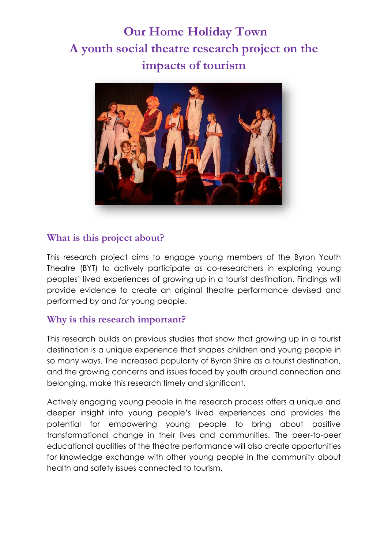# **Our Home Holiday Town A youth social theatre research project on the impacts of tourism**



### **What is this project about?**

This research project aims to engage young members of the Byron Youth Theatre (BYT) to actively participate as co-researchers in exploring young peoples' lived experiences of growing up in a tourist destination. Findings will provide evidence to create an original theatre performance devised and performed *by* and *for* young people.

#### **Why is this research important?**

This research builds on previous studies that show that growing up in a tourist destination is a unique experience that shapes children and young people in so many ways. The increased popularity of Byron Shire as a tourist destination, and the growing concerns and issues faced by youth around connection and belonging, make this research timely and significant.

Actively engaging young people in the research process offers a unique and deeper insight into young people's lived experiences and provides the potential for empowering young people to bring about positive transformational change in their lives and communities. The peer-to-peer educational qualities of the theatre performance will also create opportunities for knowledge exchange with other young people in the community about health and safety issues connected to tourism.